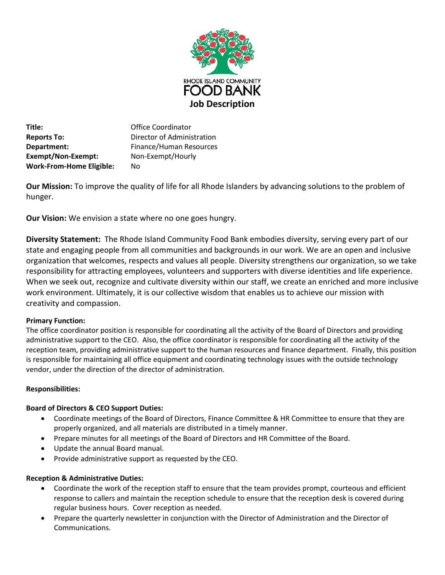

**Title:** Office Coordinator **Reports To:** Director of Administration **Department:** Finance/Human Resources **Exempt/Non-Exempt:** Non-Exempt/Hourly **Work-From-Home Eligible:** No

**Our Mission:** To improve the quality of life for all Rhode Islanders by advancing solutions to the problem of hunger.

**Our Vision:** We envision a state where no one goes hungry.

**Diversity Statement:** The Rhode Island Community Food Bank embodies diversity, serving every part of our state and engaging people from all communities and backgrounds in our work. We are an open and inclusive organization that welcomes, respects and values all people. Diversity strengthens our organization, so we take responsibility for attracting employees, volunteers and supporters with diverse identities and life experience. When we seek out, recognize and cultivate diversity within our staff, we create an enriched and more inclusive work environment. Ultimately, it is our collective wisdom that enables us to achieve our mission with creativity and compassion.

## **Primary Function:**

The office coordinator position is responsible for coordinating all the activity of the Board of Directors and providing administrative support to the CEO. Also, the office coordinator is responsible for coordinating all the activity of the reception team, providing administrative support to the human resources and finance department. Finally, this position is responsible for maintaining all office equipment and coordinating technology issues with the outside technology vendor, under the direction of the director of administration.

## **Responsibilities:**

## **Board of Directors & CEO Support Duties:**

- Coordinate meetings of the Board of Directors, Finance Committee & HR Committee to ensure that they are properly organized, and all materials are distributed in a timely manner.
- Prepare minutes for all meetings of the Board of Directors and HR Committee of the Board.
- Update the annual Board manual.
- Provide administrative support as requested by the CEO.

## **Reception & Administrative Duties:**

- Coordinate the work of the reception staff to ensure that the team provides prompt, courteous and efficient response to callers and maintain the reception schedule to ensure that the reception desk is covered during regular business hours. Cover reception as needed.
- Prepare the quarterly newsletter in conjunction with the Director of Administration and the Director of Communications.